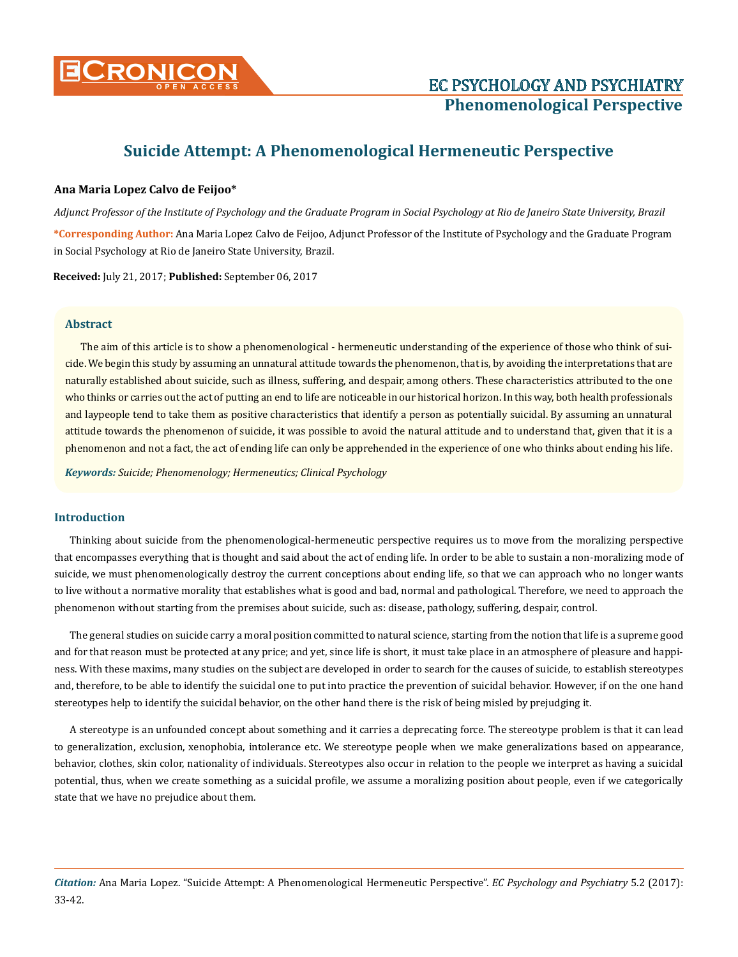

# **Suicide Attempt: A Phenomenological Hermeneutic Perspective**

# **Ana Maria Lopez Calvo de Feijoo\***

*Adjunct Professor of the Institute of Psychology and the Graduate Program in Social Psychology at Rio de Janeiro State University, Brazil* **\*Corresponding Author:** Ana Maria Lopez Calvo de Feijoo, Adjunct Professor of the Institute of Psychology and the Graduate Program in Social Psychology at Rio de Janeiro State University, Brazil.

**Received:** July 21, 2017; **Published:** September 06, 2017

# **Abstract**

The aim of this article is to show a phenomenological - hermeneutic understanding of the experience of those who think of suicide. We begin this study by assuming an unnatural attitude towards the phenomenon, that is, by avoiding the interpretations that are naturally established about suicide, such as illness, suffering, and despair, among others. These characteristics attributed to the one who thinks or carries out the act of putting an end to life are noticeable in our historical horizon. In this way, both health professionals and laypeople tend to take them as positive characteristics that identify a person as potentially suicidal. By assuming an unnatural attitude towards the phenomenon of suicide, it was possible to avoid the natural attitude and to understand that, given that it is a phenomenon and not a fact, the act of ending life can only be apprehended in the experience of one who thinks about ending his life.

*Keywords: Suicide; Phenomenology; Hermeneutics; Clinical Psychology*

# **Introduction**

Thinking about suicide from the phenomenological-hermeneutic perspective requires us to move from the moralizing perspective that encompasses everything that is thought and said about the act of ending life. In order to be able to sustain a non-moralizing mode of suicide, we must phenomenologically destroy the current conceptions about ending life, so that we can approach who no longer wants to live without a normative morality that establishes what is good and bad, normal and pathological. Therefore, we need to approach the phenomenon without starting from the premises about suicide, such as: disease, pathology, suffering, despair, control.

The general studies on suicide carry a moral position committed to natural science, starting from the notion that life is a supreme good and for that reason must be protected at any price; and yet, since life is short, it must take place in an atmosphere of pleasure and happiness. With these maxims, many studies on the subject are developed in order to search for the causes of suicide, to establish stereotypes and, therefore, to be able to identify the suicidal one to put into practice the prevention of suicidal behavior. However, if on the one hand stereotypes help to identify the suicidal behavior, on the other hand there is the risk of being misled by prejudging it.

A stereotype is an unfounded concept about something and it carries a deprecating force. The stereotype problem is that it can lead to generalization, exclusion, xenophobia, intolerance etc. We stereotype people when we make generalizations based on appearance, behavior, clothes, skin color, nationality of individuals. Stereotypes also occur in relation to the people we interpret as having a suicidal potential, thus, when we create something as a suicidal profile, we assume a moralizing position about people, even if we categorically state that we have no prejudice about them.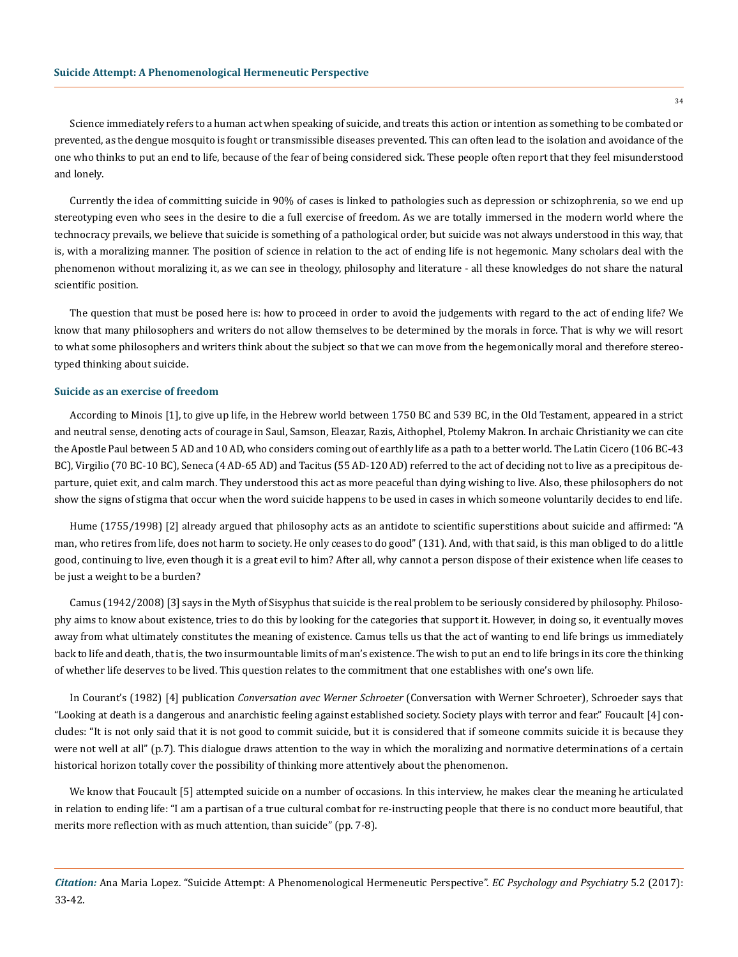Science immediately refers to a human act when speaking of suicide, and treats this action or intention as something to be combated or prevented, as the dengue mosquito is fought or transmissible diseases prevented. This can often lead to the isolation and avoidance of the one who thinks to put an end to life, because of the fear of being considered sick. These people often report that they feel misunderstood and lonely.

Currently the idea of committing suicide in 90% of cases is linked to pathologies such as depression or schizophrenia, so we end up stereotyping even who sees in the desire to die a full exercise of freedom. As we are totally immersed in the modern world where the technocracy prevails, we believe that suicide is something of a pathological order, but suicide was not always understood in this way, that is, with a moralizing manner. The position of science in relation to the act of ending life is not hegemonic. Many scholars deal with the phenomenon without moralizing it, as we can see in theology, philosophy and literature - all these knowledges do not share the natural scientific position.

The question that must be posed here is: how to proceed in order to avoid the judgements with regard to the act of ending life? We know that many philosophers and writers do not allow themselves to be determined by the morals in force. That is why we will resort to what some philosophers and writers think about the subject so that we can move from the hegemonically moral and therefore stereotyped thinking about suicide.

#### **Suicide as an exercise of freedom**

According to Minois [1], to give up life, in the Hebrew world between 1750 BC and 539 BC, in the Old Testament, appeared in a strict and neutral sense, denoting acts of courage in Saul, Samson, Eleazar, Razis, Aithophel, Ptolemy Makron. In archaic Christianity we can cite the Apostle Paul between 5 AD and 10 AD, who considers coming out of earthly life as a path to a better world. The Latin Cicero (106 BC-43 BC), Virgilio (70 BC-10 BC), Seneca (4 AD-65 AD) and Tacitus (55 AD-120 AD) referred to the act of deciding not to live as a precipitous departure, quiet exit, and calm march. They understood this act as more peaceful than dying wishing to live. Also, these philosophers do not show the signs of stigma that occur when the word suicide happens to be used in cases in which someone voluntarily decides to end life.

Hume (1755/1998) [2] already argued that philosophy acts as an antidote to scientific superstitions about suicide and affirmed: "A man, who retires from life, does not harm to society. He only ceases to do good" (131). And, with that said, is this man obliged to do a little good, continuing to live, even though it is a great evil to him? After all, why cannot a person dispose of their existence when life ceases to be just a weight to be a burden?

Camus (1942/2008) [3] says in the Myth of Sisyphus that suicide is the real problem to be seriously considered by philosophy. Philosophy aims to know about existence, tries to do this by looking for the categories that support it. However, in doing so, it eventually moves away from what ultimately constitutes the meaning of existence. Camus tells us that the act of wanting to end life brings us immediately back to life and death, that is, the two insurmountable limits of man's existence. The wish to put an end to life brings in its core the thinking of whether life deserves to be lived. This question relates to the commitment that one establishes with one's own life.

In Courant's (1982) [4] publication *Conversation avec Werner Schroeter* (Conversation with Werner Schroeter), Schroeder says that "Looking at death is a dangerous and anarchistic feeling against established society. Society plays with terror and fear." Foucault [4] concludes: "It is not only said that it is not good to commit suicide, but it is considered that if someone commits suicide it is because they were not well at all" (p.7). This dialogue draws attention to the way in which the moralizing and normative determinations of a certain historical horizon totally cover the possibility of thinking more attentively about the phenomenon.

We know that Foucault [5] attempted suicide on a number of occasions. In this interview, he makes clear the meaning he articulated in relation to ending life: "I am a partisan of a true cultural combat for re-instructing people that there is no conduct more beautiful, that merits more reflection with as much attention, than suicide" (pp. 7-8).

*Citation:* Ana Maria Lopez. "Suicide Attempt: A Phenomenological Hermeneutic Perspective". *EC Psychology and Psychiatry* 5.2 (2017): 33-42.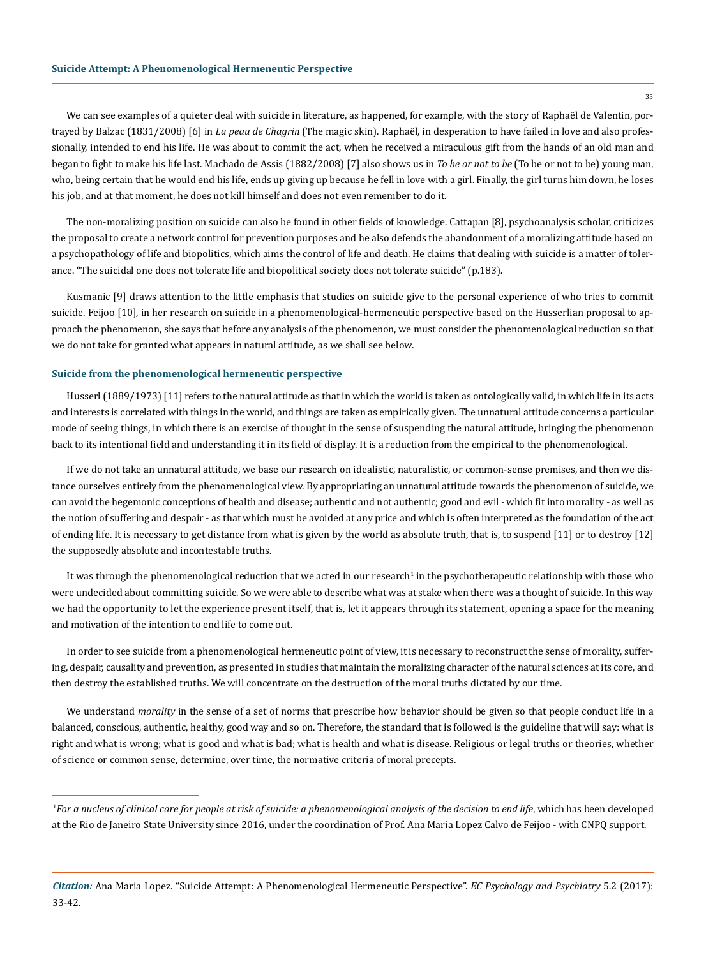#### **Suicide Attempt: A Phenomenological Hermeneutic Perspective**

We can see examples of a quieter deal with suicide in literature, as happened, for example, with the story of Raphaël de Valentin, portrayed by Balzac (1831/2008) [6] in *La peau de Chagrin* (The magic skin). Raphaël, in desperation to have failed in love and also professionally, intended to end his life. He was about to commit the act, when he received a miraculous gift from the hands of an old man and began to fight to make his life last. Machado de Assis (1882/2008) [7] also shows us in *To be or not to be* (To be or not to be) young man, who, being certain that he would end his life, ends up giving up because he fell in love with a girl. Finally, the girl turns him down, he loses his job, and at that moment, he does not kill himself and does not even remember to do it.

The non-moralizing position on suicide can also be found in other fields of knowledge. Cattapan [8], psychoanalysis scholar, criticizes the proposal to create a network control for prevention purposes and he also defends the abandonment of a moralizing attitude based on a psychopathology of life and biopolitics, which aims the control of life and death. He claims that dealing with suicide is a matter of tolerance. "The suicidal one does not tolerate life and biopolitical society does not tolerate suicide" (p.183).

Kusmanic [9] draws attention to the little emphasis that studies on suicide give to the personal experience of who tries to commit suicide. Feijoo [10], in her research on suicide in a phenomenological-hermeneutic perspective based on the Husserlian proposal to approach the phenomenon, she says that before any analysis of the phenomenon, we must consider the phenomenological reduction so that we do not take for granted what appears in natural attitude, as we shall see below.

## **Suicide from the phenomenological hermeneutic perspective**

Husserl (1889/1973) [11] refers to the natural attitude as that in which the world is taken as ontologically valid, in which life in its acts and interests is correlated with things in the world, and things are taken as empirically given. The unnatural attitude concerns a particular mode of seeing things, in which there is an exercise of thought in the sense of suspending the natural attitude, bringing the phenomenon back to its intentional field and understanding it in its field of display. It is a reduction from the empirical to the phenomenological.

If we do not take an unnatural attitude, we base our research on idealistic, naturalistic, or common-sense premises, and then we distance ourselves entirely from the phenomenological view. By appropriating an unnatural attitude towards the phenomenon of suicide, we can avoid the hegemonic conceptions of health and disease; authentic and not authentic; good and evil - which fit into morality - as well as the notion of suffering and despair - as that which must be avoided at any price and which is often interpreted as the foundation of the act of ending life. It is necessary to get distance from what is given by the world as absolute truth, that is, to suspend [11] or to destroy [12] the supposedly absolute and incontestable truths.

It was through the phenomenological reduction that we acted in our research<sup>1</sup> in the psychotherapeutic relationship with those who were undecided about committing suicide. So we were able to describe what was at stake when there was a thought of suicide. In this way we had the opportunity to let the experience present itself, that is, let it appears through its statement, opening a space for the meaning and motivation of the intention to end life to come out.

In order to see suicide from a phenomenological hermeneutic point of view, it is necessary to reconstruct the sense of morality, suffering, despair, causality and prevention, as presented in studies that maintain the moralizing character of the natural sciences at its core, and then destroy the established truths. We will concentrate on the destruction of the moral truths dictated by our time.

We understand *morality* in the sense of a set of norms that prescribe how behavior should be given so that people conduct life in a balanced, conscious, authentic, healthy, good way and so on. Therefore, the standard that is followed is the guideline that will say: what is right and what is wrong; what is good and what is bad; what is health and what is disease. Religious or legal truths or theories, whether of science or common sense, determine, over time, the normative criteria of moral precepts.

<sup>&</sup>lt;sup>1</sup>For a nucleus of clinical care for people at risk of suicide: a phenomenological analysis of the decision to end life, which has been developed at the Rio de Janeiro State University since 2016, under the coordination of Prof. Ana Maria Lopez Calvo de Feijoo - with CNPQ support.

*Citation:* Ana Maria Lopez. "Suicide Attempt: A Phenomenological Hermeneutic Perspective". *EC Psychology and Psychiatry* 5.2 (2017): 33-42.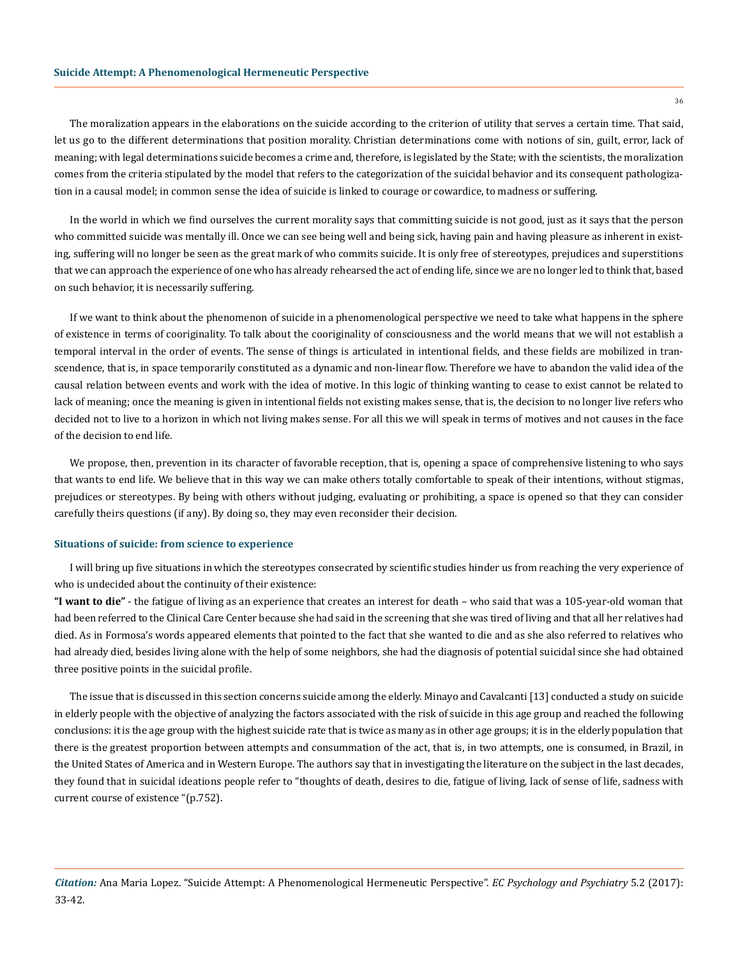The moralization appears in the elaborations on the suicide according to the criterion of utility that serves a certain time. That said, let us go to the different determinations that position morality. Christian determinations come with notions of sin, guilt, error, lack of meaning; with legal determinations suicide becomes a crime and, therefore, is legislated by the State; with the scientists, the moralization comes from the criteria stipulated by the model that refers to the categorization of the suicidal behavior and its consequent pathologization in a causal model; in common sense the idea of suicide is linked to courage or cowardice, to madness or suffering.

In the world in which we find ourselves the current morality says that committing suicide is not good, just as it says that the person who committed suicide was mentally ill. Once we can see being well and being sick, having pain and having pleasure as inherent in existing, suffering will no longer be seen as the great mark of who commits suicide. It is only free of stereotypes, prejudices and superstitions that we can approach the experience of one who has already rehearsed the act of ending life, since we are no longer led to think that, based on such behavior, it is necessarily suffering.

If we want to think about the phenomenon of suicide in a phenomenological perspective we need to take what happens in the sphere of existence in terms of cooriginality. To talk about the cooriginality of consciousness and the world means that we will not establish a temporal interval in the order of events. The sense of things is articulated in intentional fields, and these fields are mobilized in transcendence, that is, in space temporarily constituted as a dynamic and non-linear flow. Therefore we have to abandon the valid idea of the causal relation between events and work with the idea of motive. In this logic of thinking wanting to cease to exist cannot be related to lack of meaning; once the meaning is given in intentional fields not existing makes sense, that is, the decision to no longer live refers who decided not to live to a horizon in which not living makes sense. For all this we will speak in terms of motives and not causes in the face of the decision to end life.

We propose, then, prevention in its character of favorable reception, that is, opening a space of comprehensive listening to who says that wants to end life. We believe that in this way we can make others totally comfortable to speak of their intentions, without stigmas, prejudices or stereotypes. By being with others without judging, evaluating or prohibiting, a space is opened so that they can consider carefully theirs questions (if any). By doing so, they may even reconsider their decision.

#### **Situations of suicide: from science to experience**

I will bring up five situations in which the stereotypes consecrated by scientific studies hinder us from reaching the very experience of who is undecided about the continuity of their existence:

**"I want to die"** - the fatigue of living as an experience that creates an interest for death – who said that was a 105-year-old woman that had been referred to the Clinical Care Center because she had said in the screening that she was tired of living and that all her relatives had died. As in Formosa's words appeared elements that pointed to the fact that she wanted to die and as she also referred to relatives who had already died, besides living alone with the help of some neighbors, she had the diagnosis of potential suicidal since she had obtained three positive points in the suicidal profile.

The issue that is discussed in this section concerns suicide among the elderly. Minayo and Cavalcanti [13] conducted a study on suicide in elderly people with the objective of analyzing the factors associated with the risk of suicide in this age group and reached the following conclusions: it is the age group with the highest suicide rate that is twice as many as in other age groups; it is in the elderly population that there is the greatest proportion between attempts and consummation of the act, that is, in two attempts, one is consumed, in Brazil, in the United States of America and in Western Europe. The authors say that in investigating the literature on the subject in the last decades, they found that in suicidal ideations people refer to "thoughts of death, desires to die, fatigue of living, lack of sense of life, sadness with current course of existence "(p.752).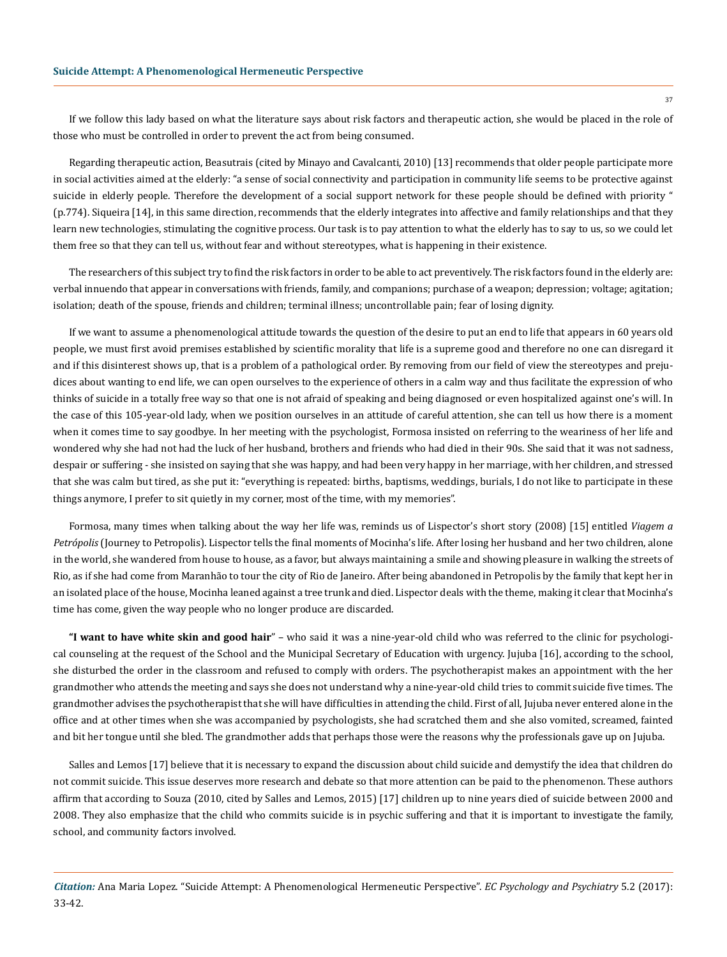If we follow this lady based on what the literature says about risk factors and therapeutic action, she would be placed in the role of those who must be controlled in order to prevent the act from being consumed.

Regarding therapeutic action, Beasutrais (cited by Minayo and Cavalcanti, 2010) [13] recommends that older people participate more in social activities aimed at the elderly: "a sense of social connectivity and participation in community life seems to be protective against suicide in elderly people. Therefore the development of a social support network for these people should be defined with priority " (p.774). Siqueira [14], in this same direction, recommends that the elderly integrates into affective and family relationships and that they learn new technologies, stimulating the cognitive process. Our task is to pay attention to what the elderly has to say to us, so we could let them free so that they can tell us, without fear and without stereotypes, what is happening in their existence.

The researchers of this subject try to find the risk factors in order to be able to act preventively. The risk factors found in the elderly are: verbal innuendo that appear in conversations with friends, family, and companions; purchase of a weapon; depression; voltage; agitation; isolation; death of the spouse, friends and children; terminal illness; uncontrollable pain; fear of losing dignity.

If we want to assume a phenomenological attitude towards the question of the desire to put an end to life that appears in 60 years old people, we must first avoid premises established by scientific morality that life is a supreme good and therefore no one can disregard it and if this disinterest shows up, that is a problem of a pathological order. By removing from our field of view the stereotypes and prejudices about wanting to end life, we can open ourselves to the experience of others in a calm way and thus facilitate the expression of who thinks of suicide in a totally free way so that one is not afraid of speaking and being diagnosed or even hospitalized against one's will. In the case of this 105-year-old lady, when we position ourselves in an attitude of careful attention, she can tell us how there is a moment when it comes time to say goodbye. In her meeting with the psychologist, Formosa insisted on referring to the weariness of her life and wondered why she had not had the luck of her husband, brothers and friends who had died in their 90s. She said that it was not sadness, despair or suffering - she insisted on saying that she was happy, and had been very happy in her marriage, with her children, and stressed that she was calm but tired, as she put it: "everything is repeated: births, baptisms, weddings, burials, I do not like to participate in these things anymore, I prefer to sit quietly in my corner, most of the time, with my memories".

Formosa, many times when talking about the way her life was, reminds us of Lispector's short story (2008) [15] entitled *Viagem a Petrópolis* (Journey to Petropolis). Lispector tells the final moments of Mocinha's life. After losing her husband and her two children, alone in the world, she wandered from house to house, as a favor, but always maintaining a smile and showing pleasure in walking the streets of Rio, as if she had come from Maranhão to tour the city of Rio de Janeiro. After being abandoned in Petropolis by the family that kept her in an isolated place of the house, Mocinha leaned against a tree trunk and died. Lispector deals with the theme, making it clear that Mocinha's time has come, given the way people who no longer produce are discarded.

**"I want to have white skin and good hair**" – who said it was a nine-year-old child who was referred to the clinic for psychological counseling at the request of the School and the Municipal Secretary of Education with urgency. Jujuba [16], according to the school, she disturbed the order in the classroom and refused to comply with orders. The psychotherapist makes an appointment with the her grandmother who attends the meeting and says she does not understand why a nine-year-old child tries to commit suicide five times. The grandmother advises the psychotherapist that she will have difficulties in attending the child. First of all, Jujuba never entered alone in the office and at other times when she was accompanied by psychologists, she had scratched them and she also vomited, screamed, fainted and bit her tongue until she bled. The grandmother adds that perhaps those were the reasons why the professionals gave up on Jujuba.

Salles and Lemos [17] believe that it is necessary to expand the discussion about child suicide and demystify the idea that children do not commit suicide. This issue deserves more research and debate so that more attention can be paid to the phenomenon. These authors affirm that according to Souza (2010, cited by Salles and Lemos, 2015) [17] children up to nine years died of suicide between 2000 and 2008. They also emphasize that the child who commits suicide is in psychic suffering and that it is important to investigate the family, school, and community factors involved.

*Citation:* Ana Maria Lopez. "Suicide Attempt: A Phenomenological Hermeneutic Perspective". *EC Psychology and Psychiatry* 5.2 (2017): 33-42.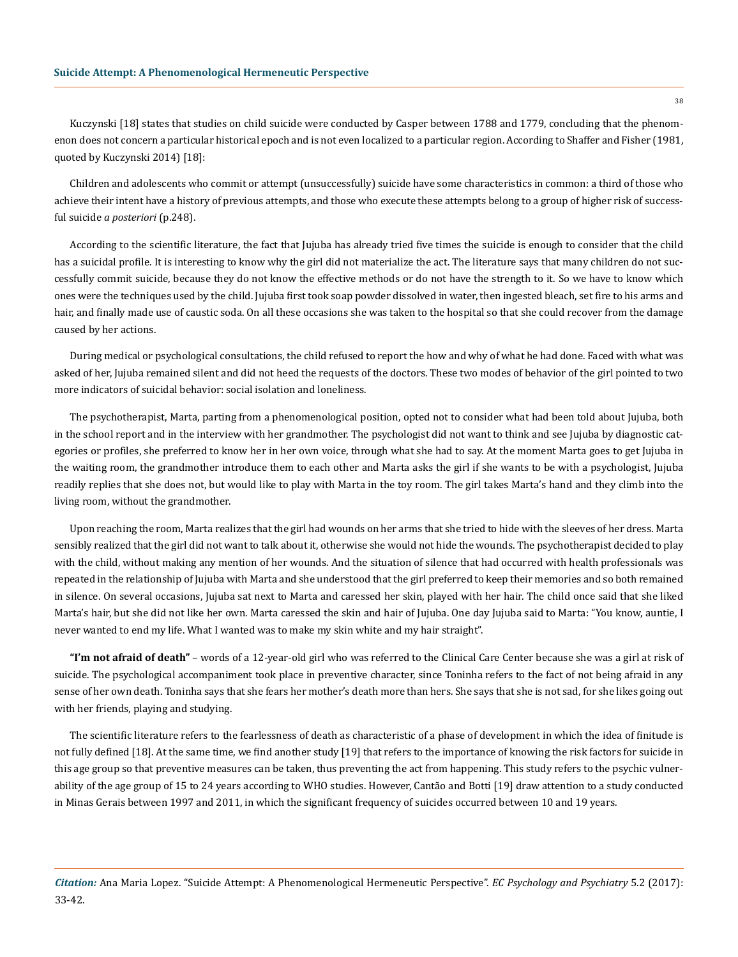Kuczynski [18] states that studies on child suicide were conducted by Casper between 1788 and 1779, concluding that the phenomenon does not concern a particular historical epoch and is not even localized to a particular region. According to Shaffer and Fisher (1981, quoted by Kuczynski 2014) [18]:

Children and adolescents who commit or attempt (unsuccessfully) suicide have some characteristics in common: a third of those who achieve their intent have a history of previous attempts, and those who execute these attempts belong to a group of higher risk of successful suicide *a posteriori* (p.248).

According to the scientific literature, the fact that Jujuba has already tried five times the suicide is enough to consider that the child has a suicidal profile. It is interesting to know why the girl did not materialize the act. The literature says that many children do not successfully commit suicide, because they do not know the effective methods or do not have the strength to it. So we have to know which ones were the techniques used by the child. Jujuba first took soap powder dissolved in water, then ingested bleach, set fire to his arms and hair, and finally made use of caustic soda. On all these occasions she was taken to the hospital so that she could recover from the damage caused by her actions.

During medical or psychological consultations, the child refused to report the how and why of what he had done. Faced with what was asked of her, Jujuba remained silent and did not heed the requests of the doctors. These two modes of behavior of the girl pointed to two more indicators of suicidal behavior: social isolation and loneliness.

The psychotherapist, Marta, parting from a phenomenological position, opted not to consider what had been told about Jujuba, both in the school report and in the interview with her grandmother. The psychologist did not want to think and see Jujuba by diagnostic categories or profiles, she preferred to know her in her own voice, through what she had to say. At the moment Marta goes to get Jujuba in the waiting room, the grandmother introduce them to each other and Marta asks the girl if she wants to be with a psychologist, Jujuba readily replies that she does not, but would like to play with Marta in the toy room. The girl takes Marta's hand and they climb into the living room, without the grandmother.

Upon reaching the room, Marta realizes that the girl had wounds on her arms that she tried to hide with the sleeves of her dress. Marta sensibly realized that the girl did not want to talk about it, otherwise she would not hide the wounds. The psychotherapist decided to play with the child, without making any mention of her wounds. And the situation of silence that had occurred with health professionals was repeated in the relationship of Jujuba with Marta and she understood that the girl preferred to keep their memories and so both remained in silence. On several occasions, Jujuba sat next to Marta and caressed her skin, played with her hair. The child once said that she liked Marta's hair, but she did not like her own. Marta caressed the skin and hair of Jujuba. One day Jujuba said to Marta: "You know, auntie, I never wanted to end my life. What I wanted was to make my skin white and my hair straight".

**"I'm not afraid of death"** – words of a 12-year-old girl who was referred to the Clinical Care Center because she was a girl at risk of suicide. The psychological accompaniment took place in preventive character, since Toninha refers to the fact of not being afraid in any sense of her own death. Toninha says that she fears her mother's death more than hers. She says that she is not sad, for she likes going out with her friends, playing and studying.

The scientific literature refers to the fearlessness of death as characteristic of a phase of development in which the idea of finitude is not fully defined [18]. At the same time, we find another study [19] that refers to the importance of knowing the risk factors for suicide in this age group so that preventive measures can be taken, thus preventing the act from happening. This study refers to the psychic vulnerability of the age group of 15 to 24 years according to WHO studies. However, Cantão and Botti [19] draw attention to a study conducted in Minas Gerais between 1997 and 2011, in which the significant frequency of suicides occurred between 10 and 19 years.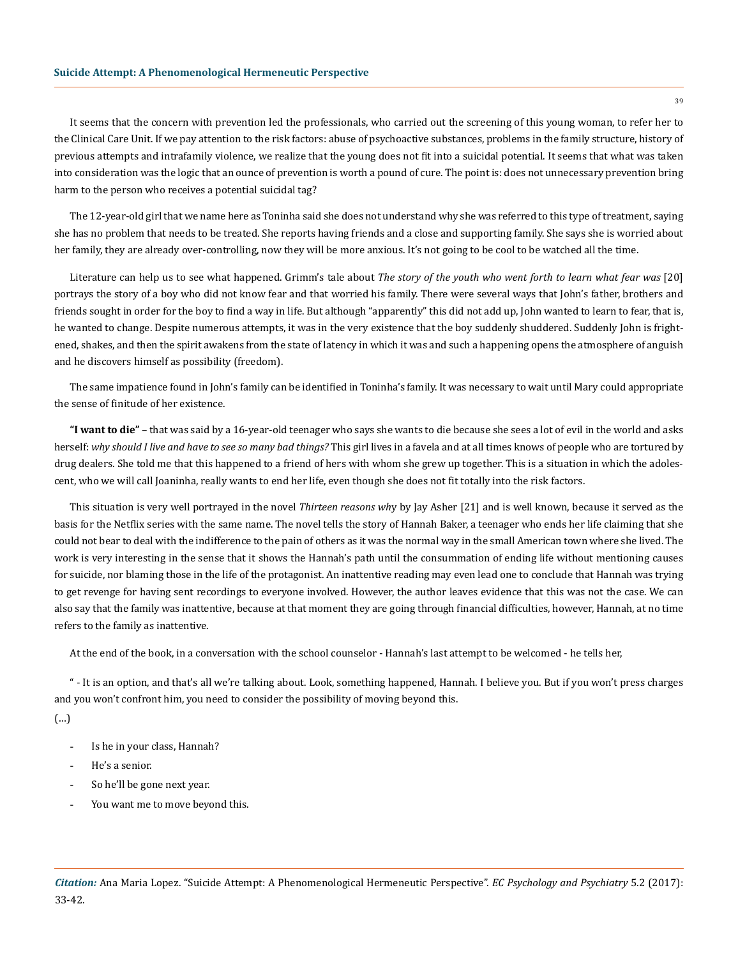It seems that the concern with prevention led the professionals, who carried out the screening of this young woman, to refer her to the Clinical Care Unit. If we pay attention to the risk factors: abuse of psychoactive substances, problems in the family structure, history of previous attempts and intrafamily violence, we realize that the young does not fit into a suicidal potential. It seems that what was taken into consideration was the logic that an ounce of prevention is worth a pound of cure. The point is: does not unnecessary prevention bring harm to the person who receives a potential suicidal tag?

The 12-year-old girl that we name here as Toninha said she does not understand why she was referred to this type of treatment, saying she has no problem that needs to be treated. She reports having friends and a close and supporting family. She says she is worried about her family, they are already over-controlling, now they will be more anxious. It's not going to be cool to be watched all the time.

Literature can help us to see what happened. Grimm's tale about *The story of the youth who went forth to learn what fear was* [20] portrays the story of a boy who did not know fear and that worried his family. There were several ways that John's father, brothers and friends sought in order for the boy to find a way in life. But although "apparently" this did not add up, John wanted to learn to fear, that is, he wanted to change. Despite numerous attempts, it was in the very existence that the boy suddenly shuddered. Suddenly John is frightened, shakes, and then the spirit awakens from the state of latency in which it was and such a happening opens the atmosphere of anguish and he discovers himself as possibility (freedom).

The same impatience found in John's family can be identified in Toninha's family. It was necessary to wait until Mary could appropriate the sense of finitude of her existence.

**"I want to die"** – that was said by a 16-year-old teenager who says she wants to die because she sees a lot of evil in the world and asks herself: *why should I live and have to see so many bad things?* This girl lives in a favela and at all times knows of people who are tortured by drug dealers. She told me that this happened to a friend of hers with whom she grew up together. This is a situation in which the adolescent, who we will call Joaninha, really wants to end her life, even though she does not fit totally into the risk factors.

This situation is very well portrayed in the novel *Thirteen reasons wh*y by Jay Asher [21] and is well known, because it served as the basis for the Netflix series with the same name. The novel tells the story of Hannah Baker, a teenager who ends her life claiming that she could not bear to deal with the indifference to the pain of others as it was the normal way in the small American town where she lived. The work is very interesting in the sense that it shows the Hannah's path until the consummation of ending life without mentioning causes for suicide, nor blaming those in the life of the protagonist. An inattentive reading may even lead one to conclude that Hannah was trying to get revenge for having sent recordings to everyone involved. However, the author leaves evidence that this was not the case. We can also say that the family was inattentive, because at that moment they are going through financial difficulties, however, Hannah, at no time refers to the family as inattentive.

At the end of the book, in a conversation with the school counselor - Hannah's last attempt to be welcomed - he tells her,

" - It is an option, and that's all we're talking about. Look, something happened, Hannah. I believe you. But if you won't press charges and you won't confront him, you need to consider the possibility of moving beyond this.

(…)

- Is he in your class, Hannah?
- He's a senior.
- So he'll be gone next year.
- You want me to move beyond this.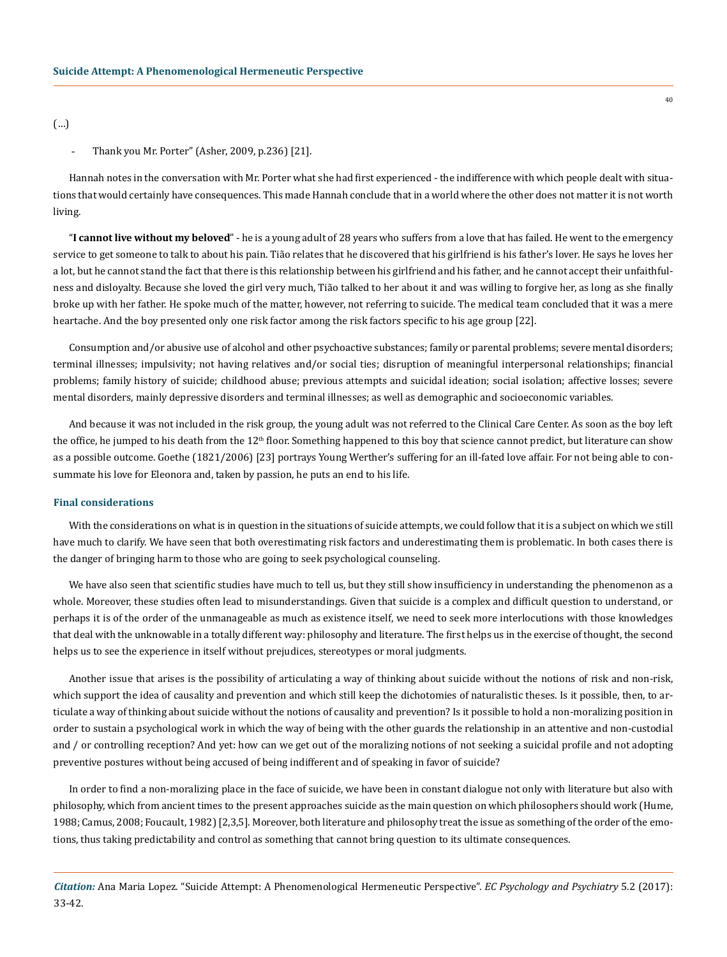(…)

## Thank you Mr. Porter" (Asher, 2009, p.236) [21].

Hannah notes in the conversation with Mr. Porter what she had first experienced - the indifference with which people dealt with situations that would certainly have consequences. This made Hannah conclude that in a world where the other does not matter it is not worth living.

"**I cannot live without my beloved**" - he is a young adult of 28 years who suffers from a love that has failed. He went to the emergency service to get someone to talk to about his pain. Tião relates that he discovered that his girlfriend is his father's lover. He says he loves her a lot, but he cannot stand the fact that there is this relationship between his girlfriend and his father, and he cannot accept their unfaithfulness and disloyalty. Because she loved the girl very much, Tião talked to her about it and was willing to forgive her, as long as she finally broke up with her father. He spoke much of the matter, however, not referring to suicide. The medical team concluded that it was a mere heartache. And the boy presented only one risk factor among the risk factors specific to his age group [22].

Consumption and/or abusive use of alcohol and other psychoactive substances; family or parental problems; severe mental disorders; terminal illnesses; impulsivity; not having relatives and/or social ties; disruption of meaningful interpersonal relationships; financial problems; family history of suicide; childhood abuse; previous attempts and suicidal ideation; social isolation; affective losses; severe mental disorders, mainly depressive disorders and terminal illnesses; as well as demographic and socioeconomic variables.

And because it was not included in the risk group, the young adult was not referred to the Clinical Care Center. As soon as the boy left the office, he jumped to his death from the  $12<sup>th</sup>$  floor. Something happened to this boy that science cannot predict, but literature can show as a possible outcome. Goethe (1821/2006) [23] portrays Young Werther's suffering for an ill-fated love affair. For not being able to consummate his love for Eleonora and, taken by passion, he puts an end to his life.

# **Final considerations**

With the considerations on what is in question in the situations of suicide attempts, we could follow that it is a subject on which we still have much to clarify. We have seen that both overestimating risk factors and underestimating them is problematic. In both cases there is the danger of bringing harm to those who are going to seek psychological counseling.

We have also seen that scientific studies have much to tell us, but they still show insufficiency in understanding the phenomenon as a whole. Moreover, these studies often lead to misunderstandings. Given that suicide is a complex and difficult question to understand, or perhaps it is of the order of the unmanageable as much as existence itself, we need to seek more interlocutions with those knowledges that deal with the unknowable in a totally different way: philosophy and literature. The first helps us in the exercise of thought, the second helps us to see the experience in itself without prejudices, stereotypes or moral judgments.

Another issue that arises is the possibility of articulating a way of thinking about suicide without the notions of risk and non-risk, which support the idea of causality and prevention and which still keep the dichotomies of naturalistic theses. Is it possible, then, to articulate a way of thinking about suicide without the notions of causality and prevention? Is it possible to hold a non-moralizing position in order to sustain a psychological work in which the way of being with the other guards the relationship in an attentive and non-custodial and / or controlling reception? And yet: how can we get out of the moralizing notions of not seeking a suicidal profile and not adopting preventive postures without being accused of being indifferent and of speaking in favor of suicide?

In order to find a non-moralizing place in the face of suicide, we have been in constant dialogue not only with literature but also with philosophy, which from ancient times to the present approaches suicide as the main question on which philosophers should work (Hume, 1988; Camus, 2008; Foucault, 1982) [2,3,5]. Moreover, both literature and philosophy treat the issue as something of the order of the emotions, thus taking predictability and control as something that cannot bring question to its ultimate consequences.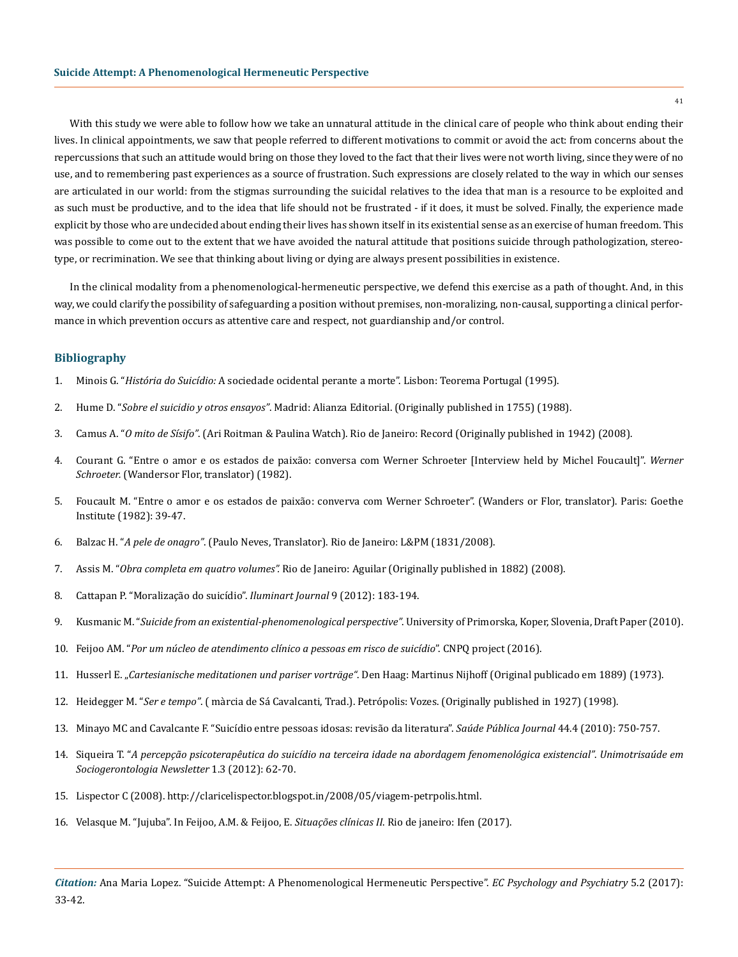With this study we were able to follow how we take an unnatural attitude in the clinical care of people who think about ending their lives. In clinical appointments, we saw that people referred to different motivations to commit or avoid the act: from concerns about the repercussions that such an attitude would bring on those they loved to the fact that their lives were not worth living, since they were of no use, and to remembering past experiences as a source of frustration. Such expressions are closely related to the way in which our senses are articulated in our world: from the stigmas surrounding the suicidal relatives to the idea that man is a resource to be exploited and as such must be productive, and to the idea that life should not be frustrated - if it does, it must be solved. Finally, the experience made explicit by those who are undecided about ending their lives has shown itself in its existential sense as an exercise of human freedom. This was possible to come out to the extent that we have avoided the natural attitude that positions suicide through pathologization, stereotype, or recrimination. We see that thinking about living or dying are always present possibilities in existence.

In the clinical modality from a phenomenological-hermeneutic perspective, we defend this exercise as a path of thought. And, in this way, we could clarify the possibility of safeguarding a position without premises, non-moralizing, non-causal, supporting a clinical performance in which prevention occurs as attentive care and respect, not guardianship and/or control.

## **Bibliography**

- 1. Minois G. "*História do Suicídio:* A sociedade ocidental perante a morte". Lisbon: Teorema Portugal (1995).
- 2. Hume D. "*Sobre el suicidio y otros ensayos"*. Madrid: Alianza Editorial. (Originally published in 1755) (1988).
- 3. Camus A. "*O mito de Sísifo"*. (Ari Roitman & Paulina Watch). Rio de Janeiro: Record (Originally published in 1942) (2008).
- 4. Courant G. "Entre o amor e os estados de paixão: conversa com Werner Schroeter [Interview held by Michel Foucault]". *Werner Schroeter.* (Wandersor Flor, translator) (1982).
- 5. Foucault M. "Entre o amor e os estados de paixão: converva com Werner Schroeter". (Wanders or Flor, translator). Paris: Goethe Institute (1982): 39-47.
- 6. Balzac H. "*A pele de onagro"*. (Paulo Neves, Translator). Rio de Janeiro: L&PM (1831/2008).
- 7. Assis M. "*Obra completa em quatro volumes".* Rio de Janeiro: Aguilar (Originally published in 1882) (2008).
- 8. [Cattapan P. "Moralização do suicídio".](http://revistailuminart.ti.srt.ifsp.edu.br/index.php/iluminart/article/view/147) *Iluminart Journal* 9 (2012): 183-194.
- 9. Kusmanic M. "*Suicide from an existential-phenomenological perspective"*. University of Primorska, Koper, Slovenia, Draft Paper (2010).
- 10. Feijoo AM. "*[Por um núcleo de atendimento clínico a pessoas em risco de suicídio](http://www.ifen.com.br/site/producoes-academicas/projetos/197-projeto-de-pesquisa-bolsa-produtividade-cnpq)*". CNPQ project (2016).
- 11. Husserl E. "*Cartesianische meditationen und pariser vorträge"*. Den Haag: Martinus Nijhoff (Original publicado em 1889) (1973).
- 12. Heidegger M. "*Ser e tempo"*. ( màrcia de Sá Cavalcanti, Trad.). Petrópolis: Vozes. (Originally published in 1927) (1998).
- 13. [Minayo MC and Cavalcante F. "Suicídio entre pessoas idosas: revisão da literatura".](http://www.scielo.br/scielo.php?script=sci_arttext&pid=S0034-89102010000400020) *Saúde Pública Journal* 44.4 (2010): 750-757.
- 14. Siqueira T. "*A percepção psicoterapêutica do suicídio na terceira idade na abordagem fenomenológica existencial"*. *Unimotrisaúde em Sociogerontologia Newsletter* 1.3 (2012): 62-70.
- 15. [Lispector C \(2008\). http://claricelispector.blogspot.in/2008/05/viagem-petrpolis.html.](file:///C:\Users\Ecronicon\Desktop\Lispector%20C%20(2008).%20http:\claricelispector.blogspot.in\2008\05\viagem-petrpolis.html)
- 16. Velasque M. "Jujuba". In Feijoo, A.M. & Feijoo, E. *Situações clínicas II*. Rio de janeiro: Ifen (2017).